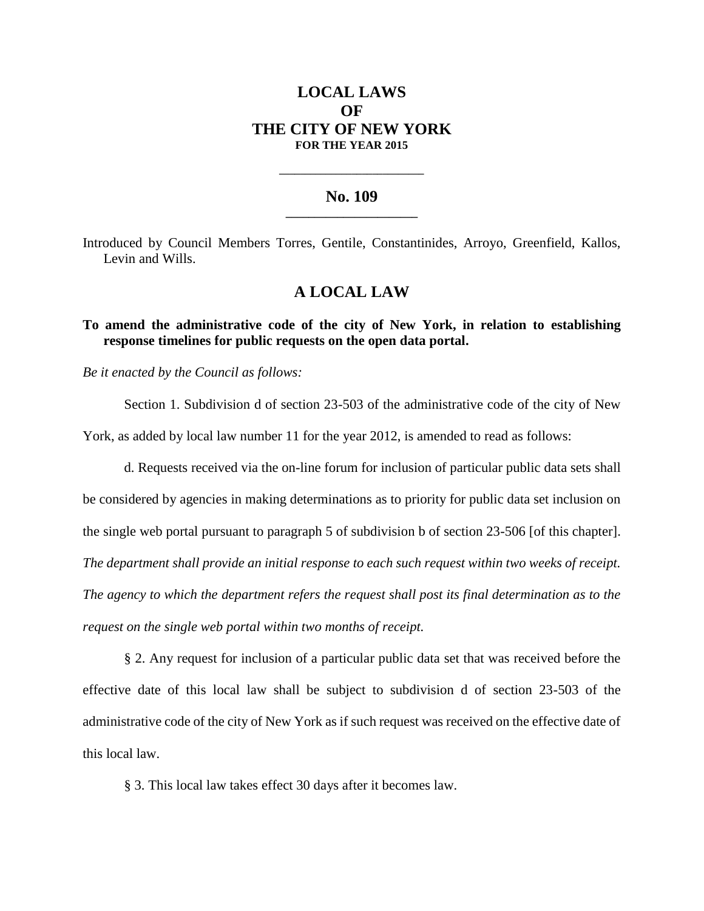# **LOCAL LAWS OF THE CITY OF NEW YORK FOR THE YEAR 2015**

### **No. 109 \_\_\_\_\_\_\_\_\_\_\_\_\_\_\_\_\_\_\_\_\_\_\_**

**\_\_\_\_\_\_\_\_\_\_\_\_\_\_\_\_\_\_\_\_\_\_\_\_\_\_\_\_**

Introduced by Council Members Torres, Gentile, Constantinides, Arroyo, Greenfield, Kallos, Levin and Wills.

## **A LOCAL LAW**

**To amend the administrative code of the city of New York, in relation to establishing response timelines for public requests on the open data portal.**

*Be it enacted by the Council as follows:*

Section 1. Subdivision d of section 23-503 of the administrative code of the city of New

York, as added by local law number 11 for the year 2012, is amended to read as follows:

d. Requests received via the on-line forum for inclusion of particular public data sets shall be considered by agencies in making determinations as to priority for public data set inclusion on the single web portal pursuant to paragraph 5 of subdivision b of section 23-506 [of this chapter]. *The department shall provide an initial response to each such request within two weeks of receipt. The agency to which the department refers the request shall post its final determination as to the request on the single web portal within two months of receipt.*

§ 2. Any request for inclusion of a particular public data set that was received before the effective date of this local law shall be subject to subdivision d of section 23-503 of the administrative code of the city of New York as if such request was received on the effective date of this local law.

§ 3. This local law takes effect 30 days after it becomes law.